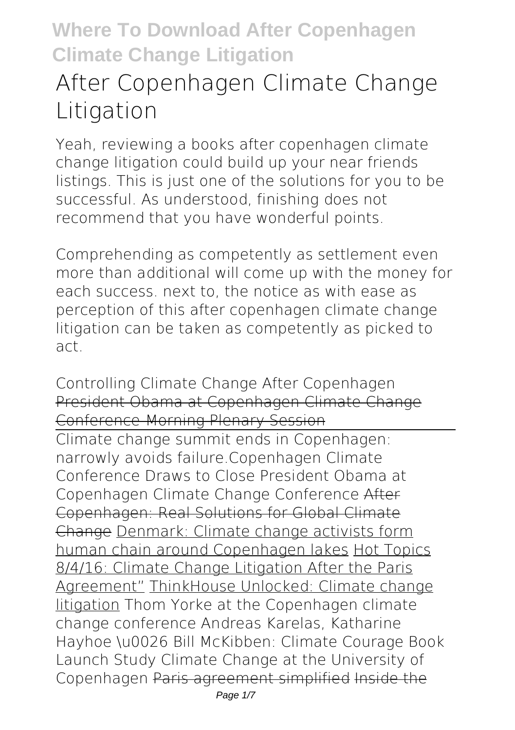# **After Copenhagen Climate Change Litigation**

Yeah, reviewing a books **after copenhagen climate change litigation** could build up your near friends listings. This is just one of the solutions for you to be successful. As understood, finishing does not recommend that you have wonderful points.

Comprehending as competently as settlement even more than additional will come up with the money for each success. next to, the notice as with ease as perception of this after copenhagen climate change litigation can be taken as competently as picked to act.

*Controlling Climate Change After Copenhagen* President Obama at Copenhagen Climate Change Conference-Morning Plenary Session

Climate change summit ends in Copenhagen: narrowly avoids failure.**Copenhagen Climate Conference Draws to Close President Obama at Copenhagen Climate Change Conference** After Copenhagen: Real Solutions for Global Climate Change Denmark: Climate change activists form human chain around Copenhagen lakes Hot Topics 8/4/16: Climate Change Litigation After the Paris Agreement" ThinkHouse Unlocked: Climate change litigation *Thom Yorke at the Copenhagen climate change conference* **Andreas Karelas, Katharine Hayhoe \u0026 Bill McKibben: Climate Courage Book Launch** *Study Climate Change at the University of Copenhagen* Paris agreement simplified Inside the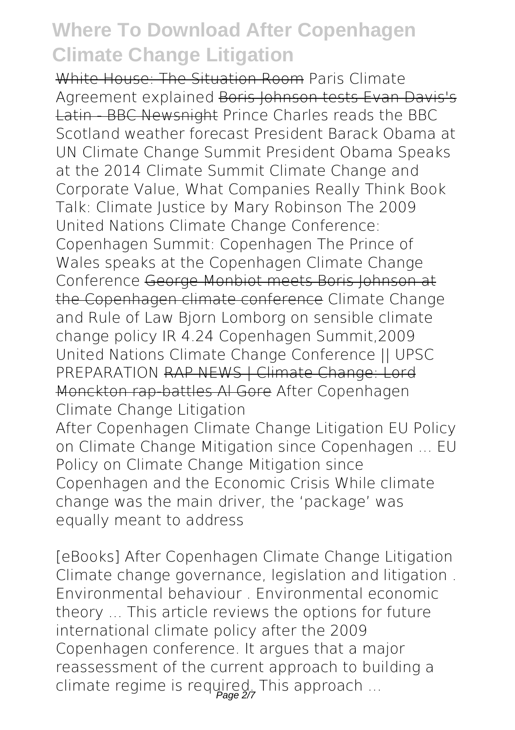White House: The Situation Room Paris Climate Agreement explained Boris Johnson tests Evan Davis's Latin - BBC Newsnight Prince Charles reads the BBC Scotland weather forecast President Barack Obama at UN Climate Change Summit *President Obama Speaks at the 2014 Climate Summit Climate Change and Corporate Value, What Companies Really Think Book Talk: Climate Justice by Mary Robinson The 2009 United Nations Climate Change Conference: Copenhagen Summit: Copenhagen* **The Prince of Wales speaks at the Copenhagen Climate Change Conference** George Monbiot meets Boris Johnson at the Copenhagen climate conference **Climate Change and Rule of Law** Bjorn Lomborg on sensible climate change policy **IR 4.24 Copenhagen Summit,2009 United Nations Climate Change Conference || UPSC PREPARATION RAP NEWS | Climate Change: Lord** Monckton rap-battles Al Gore After Copenhagen Climate Change Litigation

After Copenhagen Climate Change Litigation EU Policy on Climate Change Mitigation since Copenhagen ... EU Policy on Climate Change Mitigation since Copenhagen and the Economic Crisis While climate change was the main driver, the 'package' was equally meant to address

[eBooks] After Copenhagen Climate Change Litigation Climate change governance, legislation and litigation . Environmental behaviour . Environmental economic theory ... This article reviews the options for future international climate policy after the 2009 Copenhagen conference. It argues that a major reassessment of the current approach to building a climate regime is required. This approach ...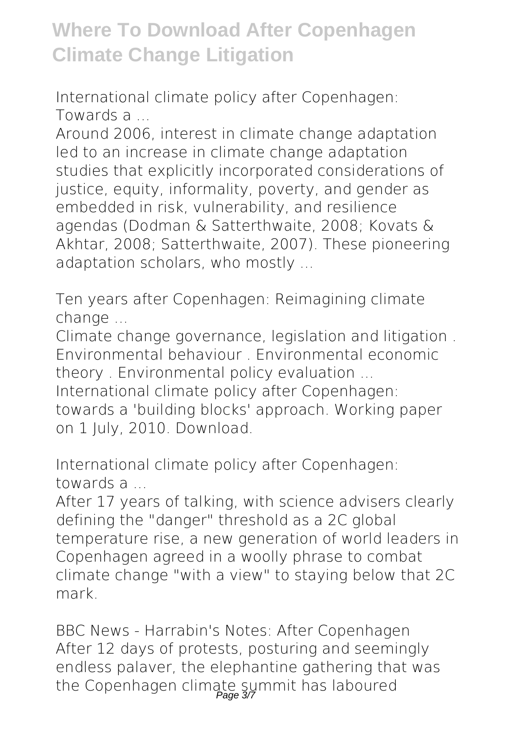International climate policy after Copenhagen: Towards a ...

Around 2006, interest in climate change adaptation led to an increase in climate change adaptation studies that explicitly incorporated considerations of justice, equity, informality, poverty, and gender as embedded in risk, vulnerability, and resilience agendas (Dodman & Satterthwaite, 2008; Kovats & Akhtar, 2008; Satterthwaite, 2007). These pioneering adaptation scholars, who mostly ...

Ten years after Copenhagen: Reimagining climate change ...

Climate change governance, legislation and litigation . Environmental behaviour . Environmental economic theory . Environmental policy evaluation ...

International climate policy after Copenhagen: towards a 'building blocks' approach. Working paper on 1 July, 2010. Download.

International climate policy after Copenhagen: towards a ...

After 17 years of talking, with science advisers clearly defining the "danger" threshold as a 2C global temperature rise, a new generation of world leaders in Copenhagen agreed in a woolly phrase to combat climate change "with a view" to staying below that 2C mark.

BBC News - Harrabin's Notes: After Copenhagen After 12 days of protests, posturing and seemingly endless palaver, the elephantine gathering that was the Copenhagen climate summit has laboured Page 3/7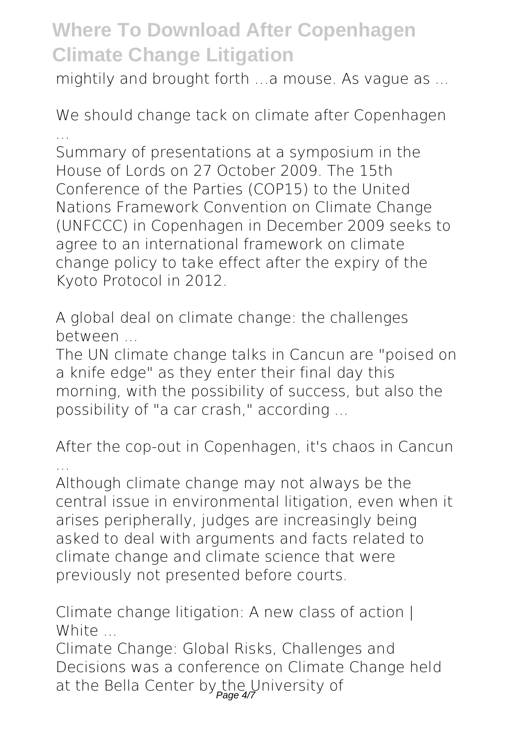mightily and brought forth …a mouse. As vague as ...

We should change tack on climate after Copenhagen ...

Summary of presentations at a symposium in the House of Lords on 27 October 2009. The 15th Conference of the Parties (COP15) to the United Nations Framework Convention on Climate Change (UNFCCC) in Copenhagen in December 2009 seeks to agree to an international framework on climate change policy to take effect after the expiry of the Kyoto Protocol in 2012.

A global deal on climate change: the challenges between ...

The UN climate change talks in Cancun are "poised on a knife edge" as they enter their final day this morning, with the possibility of success, but also the possibility of "a car crash," according ...

After the cop-out in Copenhagen, it's chaos in Cancun ...

Although climate change may not always be the central issue in environmental litigation, even when it arises peripherally, judges are increasingly being asked to deal with arguments and facts related to climate change and climate science that were previously not presented before courts.

Climate change litigation: A new class of action I White

Climate Change: Global Risks, Challenges and Decisions was a conference on Climate Change held at the Bella Center by the University of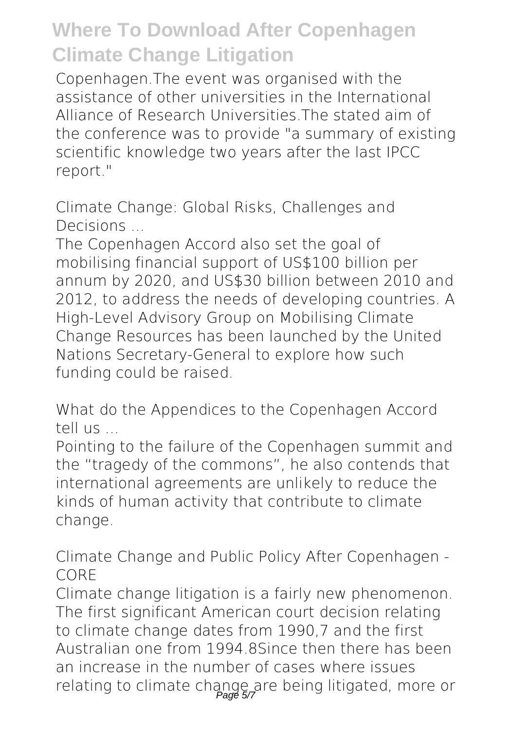Copenhagen.The event was organised with the assistance of other universities in the International Alliance of Research Universities.The stated aim of the conference was to provide "a summary of existing scientific knowledge two years after the last IPCC report."

Climate Change: Global Risks, Challenges and Decisions ...

The Copenhagen Accord also set the goal of mobilising financial support of US\$100 billion per annum by 2020, and US\$30 billion between 2010 and 2012, to address the needs of developing countries. A High-Level Advisory Group on Mobilising Climate Change Resources has been launched by the United Nations Secretary-General to explore how such funding could be raised.

What do the Appendices to the Copenhagen Accord tell us ...

Pointing to the failure of the Copenhagen summit and the "tragedy of the commons", he also contends that international agreements are unlikely to reduce the kinds of human activity that contribute to climate change.

Climate Change and Public Policy After Copenhagen - CORE

Climate change litigation is a fairly new phenomenon. The first significant American court decision relating to climate change dates from 1990,7 and the first Australian one from 1994.8Since then there has been an increase in the number of cases where issues relating to climate change are being litigated, more or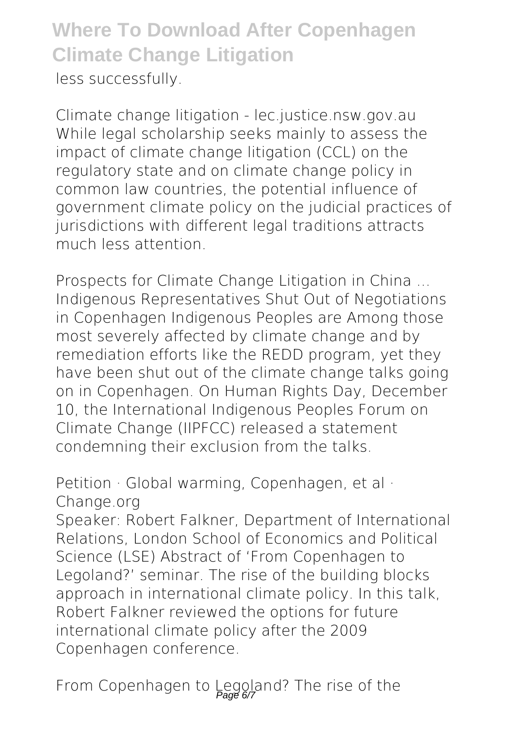#### **Where To Download After Copenhagen Climate Change Litigation** less successfully.

Climate change litigation - lec.justice.nsw.gov.au While legal scholarship seeks mainly to assess the impact of climate change litigation (CCL) on the regulatory state and on climate change policy in common law countries, the potential influence of government climate policy on the judicial practices of jurisdictions with different legal traditions attracts much less attention.

Prospects for Climate Change Litigation in China ... Indigenous Representatives Shut Out of Negotiations in Copenhagen Indigenous Peoples are Among those most severely affected by climate change and by remediation efforts like the REDD program, yet they have been shut out of the climate change talks going on in Copenhagen. On Human Rights Day, December 10, the International Indigenous Peoples Forum on Climate Change (IIPFCC) released a statement condemning their exclusion from the talks.

Petition · Global warming, Copenhagen, et al · Change.org

Speaker: Robert Falkner, Department of International Relations, London School of Economics and Political Science (LSE) Abstract of 'From Copenhagen to Legoland?' seminar. The rise of the building blocks approach in international climate policy. In this talk, Robert Falkner reviewed the options for future international climate policy after the 2009 Copenhagen conference.

From Copenhagen to Legoland? The rise of the